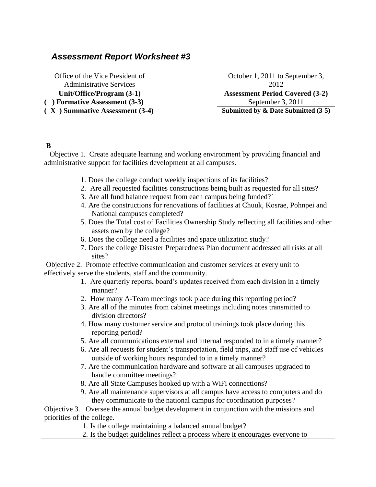## *Assessment Report Worksheet #3*

Office of the Vice President of Administrative Services (a) **Formative Assessment (3-3)** September 3, 2011

**( X ) Summative Assessment (3-4) Submitted by & Date Submitted (3-5)**

October 1, 2011 to September 3, 2012 **Unit/Office/Program (3-1) Assessment Period Covered (3-2)**

**B**  Objective 1. Create adequate learning and working environment by providing financial and administrative support for facilities development at all campuses. 1. Does the college conduct weekly inspections of its facilities? 2. Are all requested facilities constructions being built as requested for all sites? 3. Are all fund balance request from each campus being funded?` 4. Are the constructions for renovations of facilities at Chuuk, Kosrae, Pohnpei and National campuses completed? 5. Does the Total cost of Facilities Ownership Study reflecting all facilities and other assets own by the college? 6. Does the college need a facilities and space utilization study? 7. Does the college Disaster Preparedness Plan document addressed all risks at all sites? Objective 2. Promote effective communication and customer services at every unit to effectively serve the students, staff and the community. 1. Are quarterly reports, board's updates received from each division in a timely manner? 2. How many A-Team meetings took place during this reporting period? 3. Are all of the minutes from cabinet meetings including notes transmitted to division directors? 4. How many customer service and protocol trainings took place during this reporting period? 5. Are all communications external and internal responded to in a timely manner? 6. Are all requests for student's transportation, field trips, and staff use of vehicles outside of working hours responded to in a timely manner? 7. Are the communication hardware and software at all campuses upgraded to handle committee meetings? 8. Are all State Campuses hooked up with a WiFi connections? 9. Are all maintenance supervisors at all campus have access to computers and do they communicate to the national campus for coordination purposes? Objective 3. Oversee the annual budget development in conjunction with the missions and priorities of the college. 1. Is the college maintaining a balanced annual budget?

2. Is the budget guidelines reflect a process where it encourages everyone to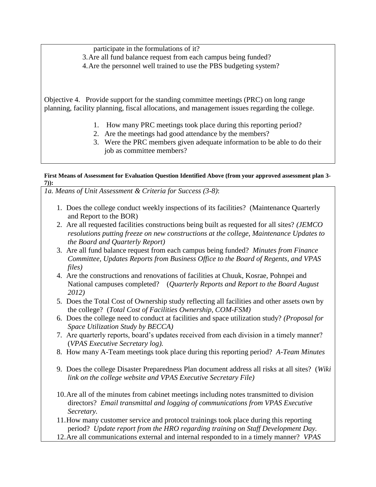participate in the formulations of it? 3.Are all fund balance request from each campus being funded? 4.Are the personnel well trained to use the PBS budgeting system?

Objective 4. Provide support for the standing committee meetings (PRC) on long range planning, facility planning, fiscal allocations, and management issues regarding the college.

- 1. How many PRC meetings took place during this reporting period?
- 2. Are the meetings had good attendance by the members?
- 3. Were the PRC members given adequate information to be able to do their job as committee members?

## **First Means of Assessment for Evaluation Question Identified Above (from your approved assessment plan 3- 7)):**

*1a. Means of Unit Assessment & Criteria for Success (3-8)*:

- 1. Does the college conduct weekly inspections of its facilities? (Maintenance Quarterly and Report to the BOR)
- 2. Are all requested facilities constructions being built as requested for all sites? *(JEMCO resolutions putting freeze on new constructions at the college, Maintenance Updates to the Board and Quarterly Report)*
- 3. Are all fund balance request from each campus being funded? *Minutes from Finance Committee, Updates Reports from Business Office to the Board of Regents, and VPAS files)*
- 4. Are the constructions and renovations of facilities at Chuuk, Kosrae, Pohnpei and National campuses completed? (*Quarterly Reports and Report to the Board August 2012)*
- 5. Does the Total Cost of Ownership study reflecting all facilities and other assets own by the college? (*Total Cost of Facilities Ownership, COM-FSM)*
- 6. Does the college need to conduct at facilities and space utilization study? *(Proposal for Space Utilization Study by BECCA)*
- 7. Are quarterly reports, board's updates received from each division in a timely manner? (*VPAS Executive Secretary log).*
- 8. How many A-Team meetings took place during this reporting period? *A-Team Minutes*
- 9. Does the college Disaster Preparedness Plan document address all risks at all sites? (*Wiki link on the college website and VPAS Executive Secretary File)*
- 10.Are all of the minutes from cabinet meetings including notes transmitted to division directors? *Email transmittal and logging of communications from VPAS Executive Secretary.*
- 11.How many customer service and protocol trainings took place during this reporting period? *Update report from the HRO regarding training on Staff Development Day.*
- 12.Are all communications external and internal responded to in a timely manner? *VPAS*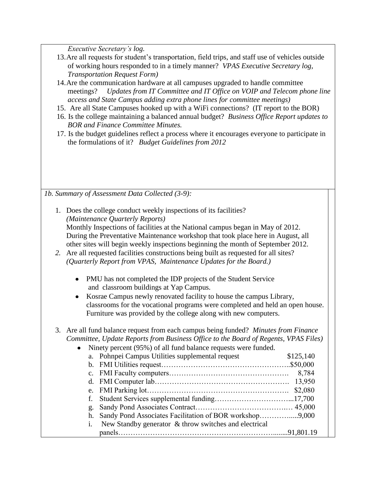*Executive Secretary's log.*

- 13.Are all requests for student's transportation, field trips, and staff use of vehicles outside of working hours responded to in a timely manner? *VPAS Executive Secretary log, Transportation Request Form)*
- 14.Are the communication hardware at all campuses upgraded to handle committee meetings? *Updates from IT Committee and IT Office on VOIP and Telecom phone line access and State Campus adding extra phone lines for committee meetings)*
- 15. Are all State Campuses hooked up with a WiFi connections? (IT report to the BOR)
- 16. Is the college maintaining a balanced annual budget? *Business Office Report updates to BOR and Finance Committee Minutes.*
- 17. Is the budget guidelines reflect a process where it encourages everyone to participate in the formulations of it? *Budget Guidelines from 2012*

*1b. Summary of Assessment Data Collected (3-9):*

|                                                                                                                                                                                                                                              | 1. Does the college conduct weekly inspections of its facilities?<br>(Maintenance Quarterly Reports)<br>Monthly Inspections of facilities at the National campus began in May of 2012.<br>During the Preventative Maintenance workshop that took place here in August, all<br>other sites will begin weekly inspections beginning the month of September 2012.<br>2. Are all requested facilities constructions being built as requested for all sites?<br>(Quarterly Report from VPAS, Maintenance Updates for the Board.) |                                                                                                                                                                                                                                                                                                                                    |           |  |
|----------------------------------------------------------------------------------------------------------------------------------------------------------------------------------------------------------------------------------------------|-----------------------------------------------------------------------------------------------------------------------------------------------------------------------------------------------------------------------------------------------------------------------------------------------------------------------------------------------------------------------------------------------------------------------------------------------------------------------------------------------------------------------------|------------------------------------------------------------------------------------------------------------------------------------------------------------------------------------------------------------------------------------------------------------------------------------------------------------------------------------|-----------|--|
|                                                                                                                                                                                                                                              | ٠<br>$\bullet$                                                                                                                                                                                                                                                                                                                                                                                                                                                                                                              | PMU has not completed the IDP projects of the Student Service<br>and classroom buildings at Yap Campus.<br>Kosrae Campus newly renovated facility to house the campus Library,<br>classrooms for the vocational programs were completed and held an open house.<br>Furniture was provided by the college along with new computers. |           |  |
| 3. Are all fund balance request from each campus being funded? Minutes from Finance<br>Committee, Update Reports from Business Office to the Board of Regents, VPAS Files)<br>Ninety percent (95%) of all fund balance requests were funded. |                                                                                                                                                                                                                                                                                                                                                                                                                                                                                                                             |                                                                                                                                                                                                                                                                                                                                    |           |  |
|                                                                                                                                                                                                                                              |                                                                                                                                                                                                                                                                                                                                                                                                                                                                                                                             | a. Pohnpei Campus Utilities supplemental request                                                                                                                                                                                                                                                                                   | \$125,140 |  |
|                                                                                                                                                                                                                                              |                                                                                                                                                                                                                                                                                                                                                                                                                                                                                                                             |                                                                                                                                                                                                                                                                                                                                    |           |  |
|                                                                                                                                                                                                                                              | $C_{\bullet}$                                                                                                                                                                                                                                                                                                                                                                                                                                                                                                               |                                                                                                                                                                                                                                                                                                                                    | 8,784     |  |
|                                                                                                                                                                                                                                              | d.                                                                                                                                                                                                                                                                                                                                                                                                                                                                                                                          |                                                                                                                                                                                                                                                                                                                                    |           |  |
|                                                                                                                                                                                                                                              | e.                                                                                                                                                                                                                                                                                                                                                                                                                                                                                                                          |                                                                                                                                                                                                                                                                                                                                    | \$2,080   |  |
|                                                                                                                                                                                                                                              | f.                                                                                                                                                                                                                                                                                                                                                                                                                                                                                                                          |                                                                                                                                                                                                                                                                                                                                    |           |  |
|                                                                                                                                                                                                                                              | g.                                                                                                                                                                                                                                                                                                                                                                                                                                                                                                                          |                                                                                                                                                                                                                                                                                                                                    |           |  |
|                                                                                                                                                                                                                                              | h.                                                                                                                                                                                                                                                                                                                                                                                                                                                                                                                          | Sandy Pond Associates Facilitation of BOR workshop9,000                                                                                                                                                                                                                                                                            |           |  |
|                                                                                                                                                                                                                                              | $\mathbf{i}$ .                                                                                                                                                                                                                                                                                                                                                                                                                                                                                                              | New Standby generator & throw switches and electrical                                                                                                                                                                                                                                                                              |           |  |
|                                                                                                                                                                                                                                              |                                                                                                                                                                                                                                                                                                                                                                                                                                                                                                                             |                                                                                                                                                                                                                                                                                                                                    |           |  |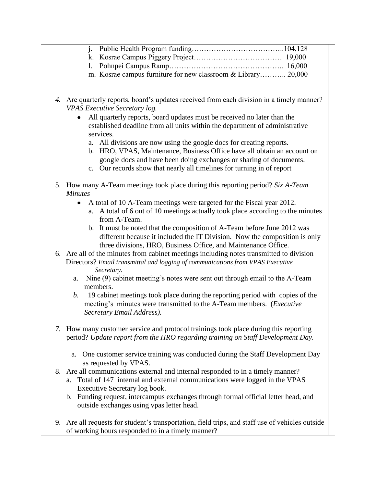- m. Kosrae campus furniture for new classroom & Library……….. 20,000
- *4.* Are quarterly reports, board's updates received from each division in a timely manner? *VPAS Executive Secretary log.*
	- $\bullet$ All quarterly reports, board updates must be received no later than the established deadline from all units within the department of administrative services.
		- a. All divisions are now using the google docs for creating reports.
		- b. HRO, VPAS, Maintenance, Business Office have all obtain an account on google docs and have been doing exchanges or sharing of documents.
		- c. Our records show that nearly all timelines for turning in of report
- 5. How many A-Team meetings took place during this reporting period? *Six A-Team Minutes*
	- A total of 10 A-Team meetings were targeted for the Fiscal year 2012.
		- a. A total of 6 out of 10 meetings actually took place according to the minutes from A-Team.
		- b. It must be noted that the composition of A-Team before June 2012 was different because it included the IT Division. Now the composition is only three divisions, HRO, Business Office, and Maintenance Office.
- 6. Are all of the minutes from cabinet meetings including notes transmitted to division Directors? *Email transmittal and logging of communications from VPAS Executive Secretary.*
	- a. Nine (9) cabinet meeting's notes were sent out through email to the A-Team members.
	- *b.* 19 cabinet meetings took place during the reporting period with copies of the meeting's minutes were transmitted to the A-Team members. (*Executive Secretary Email Address).*
- *7.* How many customer service and protocol trainings took place during this reporting period? *Update report from the HRO regarding training on Staff Development Day.*
	- a. One customer service training was conducted during the Staff Development Day as requested by VPAS.
- 8. Are all communications external and internal responded to in a timely manner?
	- a. Total of 147 internal and external communications were logged in the VPAS Executive Secretary log book.
	- b. Funding request, intercampus exchanges through formal official letter head, and outside exchanges using vpas letter head.
- 9. Are all requests for student's transportation, field trips, and staff use of vehicles outside of working hours responded to in a timely manner?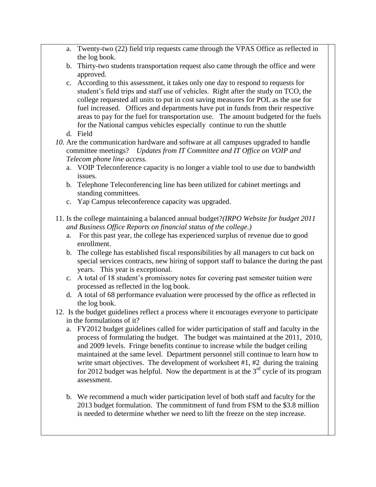- a. Twenty-two (22) field trip requests came through the VPAS Office as reflected in the log book.
- b. Thirty-two students transportation request also came through the office and were approved.
- c. According to this assessment, it takes only one day to respond to requests for student's field trips and staff use of vehicles. Right after the study on TCO, the college requested all units to put in cost saving measures for POL as the use for fuel increased. Offices and departments have put in funds from their respective areas to pay for the fuel for transportation use. The amount budgeted for the fuels for the National campus vehicles especially continue to run the shuttle
- d. Field
- *10.* Are the communication hardware and software at all campuses upgraded to handle committee meetings? *Updates from IT Committee and IT Office on VOIP and Telecom phone line access.*
	- a. VOIP Teleconference capacity is no longer a viable tool to use due to bandwidth issues.
	- b. Telephone Teleconferencing line has been utilized for cabinet meetings and standing committees.
	- c. Yap Campus teleconference capacity was upgraded.
- 11. Is the college maintaining a balanced annual budget?*(IRPO Website for budget 2011 and Business Office Reports on financial status of the college.)*
	- a. For this past year, the college has experienced surplus of revenue due to good enrollment.
	- b. The college has established fiscal responsibilities by all managers to cut back on special services contracts, new hiring of support staff to balance the during the past years. This year is exceptional.
	- c. A total of 18 student's promissory notes for covering past semester tuition were processed as reflected in the log book.
	- d. A total of 68 performance evaluation were processed by the office as reflected in the log book.
- 12. Is the budget guidelines reflect a process where it encourages everyone to participate in the formulations of it?
	- a. FY2012 budget guidelines called for wider participation of staff and faculty in the process of formulating the budget. The budget was maintained at the 2011, 2010, and 2009 levels. Fringe benefits continue to increase while the budget ceiling maintained at the same level. Department personnel still continue to learn how to write smart objectives. The development of worksheet #1, #2 during the training for 2012 budget was helpful. Now the department is at the 3<sup>rd</sup> cycle of its program assessment.
	- b. We recommend a much wider participation level of both staff and faculty for the 2013 budget formulation. The commitment of fund from FSM to the \$3.8 million is needed to determine whether we need to lift the freeze on the step increase.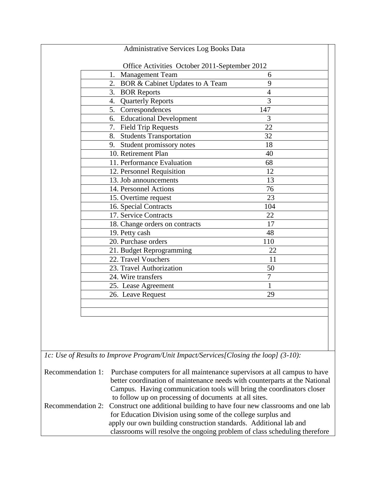| 1. Management Team                 | 6              |
|------------------------------------|----------------|
| 2. BOR & Cabinet Updates to A Team | 9              |
| 3. BOR Reports                     | $\overline{4}$ |
| 4. Quarterly Reports               | $\overline{3}$ |
| 5. Correspondences                 | 147            |
| 6. Educational Development         | 3              |
| 7. Field Trip Requests             | 22             |
| 8. Students Transportation         | 32             |
| 9. Student promissory notes        | 18             |
| 10. Retirement Plan                | 40             |
| 11. Performance Evaluation         | 68             |
| 12. Personnel Requisition          | 12             |
| 13. Job announcements              | 13             |
| 14. Personnel Actions              | 76             |
| 15. Overtime request               | 23             |
| 16. Special Contracts              | 104            |
| 17. Service Contracts              | 22             |
| 18. Change orders on contracts     | 17             |
| 19. Petty cash                     | 48             |
| 20. Purchase orders                | 110            |
| 21. Budget Reprogramming           | 22             |
| 22. Travel Vouchers                | 11             |
| 23. Travel Authorization           | 50             |
| 24. Wire transfers                 | 7              |
| 25. Lease Agreement                | $\mathbf{1}$   |
| 26. Leave Request                  | 29             |

*1c: Use of Results to Improve Program/Unit Impact/Services[Closing the loop] (3-10):*

Recommendation 1: Purchase computers for all maintenance supervisors at all campus to have better coordination of maintenance needs with counterparts at the National Campus. Having communication tools will bring the coordinators closer to follow up on processing of documents at all sites. Recommendation 2: Construct one additional building to have four new classrooms and one lab for Education Division using some of the college surplus and apply our own building construction standards. Additional lab and classrooms will resolve the ongoing problem of class scheduling therefore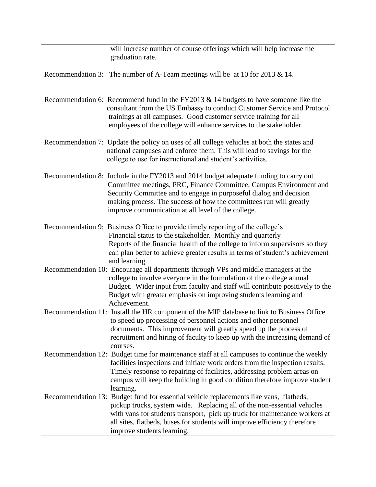| will increase number of course offerings which will help increase the                                                               |
|-------------------------------------------------------------------------------------------------------------------------------------|
| graduation rate.                                                                                                                    |
|                                                                                                                                     |
| Recommendation 3: The number of A-Team meetings will be at 10 for 2013 & 14.                                                        |
|                                                                                                                                     |
| Recommendation 6: Recommend fund in the FY2013 $\&$ 14 budgets to have someone like the                                             |
| consultant from the US Embassy to conduct Customer Service and Protocol                                                             |
| trainings at all campuses. Good customer service training for all                                                                   |
| employees of the college will enhance services to the stakeholder.                                                                  |
| Recommendation 7: Update the policy on uses of all college vehicles at both the states and                                          |
| national campuses and enforce them. This will lead to savings for the                                                               |
| college to use for instructional and student's activities.                                                                          |
| Recommendation 8: Include in the FY2013 and 2014 budget adequate funding to carry out                                               |
| Committee meetings, PRC, Finance Committee, Campus Environment and                                                                  |
| Security Committee and to engage in purposeful dialog and decision                                                                  |
| making process. The success of how the committees run will greatly                                                                  |
| improve communication at all level of the college.                                                                                  |
| Recommendation 9: Business Office to provide timely reporting of the college's                                                      |
| Financial status to the stakeholder. Monthly and quarterly                                                                          |
| Reports of the financial health of the college to inform supervisors so they                                                        |
| can plan better to achieve greater results in terms of student's achievement                                                        |
| and learning.<br>Recommendation 10: Encourage all departments through VPs and middle managers at the                                |
| college to involve everyone in the formulation of the college annual                                                                |
| Budget. Wider input from faculty and staff will contribute positively to the                                                        |
| Budget with greater emphasis on improving students learning and                                                                     |
| Achievement.                                                                                                                        |
| Recommendation 11: Install the HR component of the MIP database to link to Business Office                                          |
| to speed up processing of personnel actions and other personnel<br>documents. This improvement will greatly speed up the process of |
| recruitment and hiring of faculty to keep up with the increasing demand of                                                          |
| courses.                                                                                                                            |
| Recommendation 12: Budget time for maintenance staff at all campuses to continue the weekly                                         |
| facilities inspections and initiate work orders from the inspection results.                                                        |
| Timely response to repairing of facilities, addressing problem areas on                                                             |
| campus will keep the building in good condition therefore improve student<br>learning.                                              |
| Recommendation 13: Budget fund for essential vehicle replacements like vans, flatbeds,                                              |
| pickup trucks, system wide. Replacing all of the non-essential vehicles                                                             |
| with vans for students transport, pick up truck for maintenance workers at                                                          |
| all sites, flatbeds, buses for students will improve efficiency therefore                                                           |
| improve students learning.                                                                                                          |